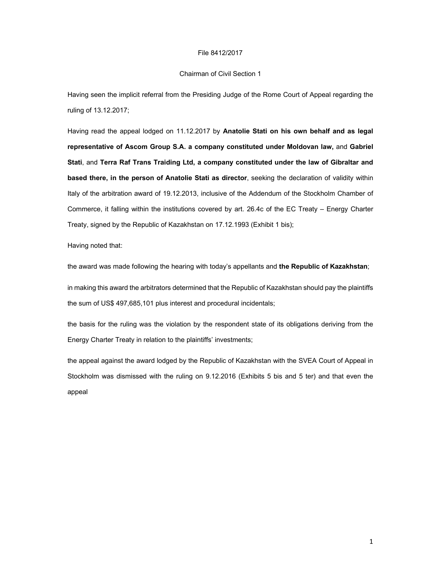#### File 8412/2017

#### Chairman of Civil Section 1

Having seen the implicit referral from the Presiding Judge of the Rome Court of Appeal regarding the ruling of 13.12.2017;

Having read the appeal lodged on 11.12.2017 by **Anatolie Stati on his own behalf and as legal representative of Ascom Group S.A. a company constituted under Moldovan law,** and **Gabriel Stati**, and **Terra Raf Trans Traiding Ltd, a company constituted under the law of Gibraltar and based there, in the person of Anatolie Stati as director**, seeking the declaration of validity within Italy of the arbitration award of 19.12.2013, inclusive of the Addendum of the Stockholm Chamber of Commerce, it falling within the institutions covered by art. 26.4c of the EC Treaty – Energy Charter Treaty, signed by the Republic of Kazakhstan on 17.12.1993 (Exhibit 1 bis);

Having noted that:

the award was made following the hearing with today's appellants and **the Republic of Kazakhstan**;

in making this award the arbitrators determined that the Republic of Kazakhstan should pay the plaintiffs the sum of US\$ 497,685,101 plus interest and procedural incidentals;

the basis for the ruling was the violation by the respondent state of its obligations deriving from the Energy Charter Treaty in relation to the plaintiffs' investments;

the appeal against the award lodged by the Republic of Kazakhstan with the SVEA Court of Appeal in Stockholm was dismissed with the ruling on 9.12.2016 (Exhibits 5 bis and 5 ter) and that even the appeal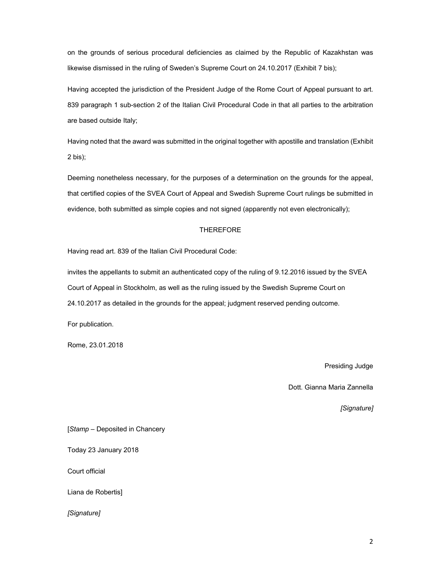on the grounds of serious procedural deficiencies as claimed by the Republic of Kazakhstan was likewise dismissed in the ruling of Sweden's Supreme Court on 24.10.2017 (Exhibit 7 bis);

Having accepted the jurisdiction of the President Judge of the Rome Court of Appeal pursuant to art. 839 paragraph 1 sub-section 2 of the Italian Civil Procedural Code in that all parties to the arbitration are based outside Italy;

Having noted that the award was submitted in the original together with apostille and translation (Exhibit 2 bis);

Deeming nonetheless necessary, for the purposes of a determination on the grounds for the appeal, that certified copies of the SVEA Court of Appeal and Swedish Supreme Court rulings be submitted in evidence, both submitted as simple copies and not signed (apparently not even electronically);

# THEREFORE

Having read art. 839 of the Italian Civil Procedural Code:

invites the appellants to submit an authenticated copy of the ruling of 9.12.2016 issued by the SVEA Court of Appeal in Stockholm, as well as the ruling issued by the Swedish Supreme Court on 24.10.2017 as detailed in the grounds for the appeal; judgment reserved pending outcome.

For publication.

Rome, 23.01.2018

Presiding Judge

Dott. Gianna Maria Zannella

*[Signature]* 

[*Stamp* – Deposited in Chancery

Today 23 January 2018

Court official

Liana de Robertis]

*[Signature]*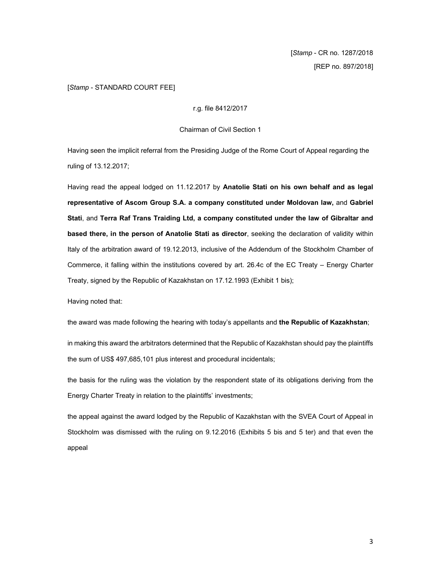[*Stamp* - CR no. 1287/2018 [REP no. 897/2018]

# [*Stamp* - STANDARD COURT FEE]

r.g. file 8412/2017

Chairman of Civil Section 1

Having seen the implicit referral from the Presiding Judge of the Rome Court of Appeal regarding the ruling of 13.12.2017;

Having read the appeal lodged on 11.12.2017 by **Anatolie Stati on his own behalf and as legal representative of Ascom Group S.A. a company constituted under Moldovan law,** and **Gabriel Stati**, and **Terra Raf Trans Traiding Ltd, a company constituted under the law of Gibraltar and based there, in the person of Anatolie Stati as director**, seeking the declaration of validity within Italy of the arbitration award of 19.12.2013, inclusive of the Addendum of the Stockholm Chamber of Commerce, it falling within the institutions covered by art. 26.4c of the EC Treaty – Energy Charter Treaty, signed by the Republic of Kazakhstan on 17.12.1993 (Exhibit 1 bis);

Having noted that:

the award was made following the hearing with today's appellants and **the Republic of Kazakhstan**;

in making this award the arbitrators determined that the Republic of Kazakhstan should pay the plaintiffs the sum of US\$ 497,685,101 plus interest and procedural incidentals;

the basis for the ruling was the violation by the respondent state of its obligations deriving from the Energy Charter Treaty in relation to the plaintiffs' investments;

the appeal against the award lodged by the Republic of Kazakhstan with the SVEA Court of Appeal in Stockholm was dismissed with the ruling on 9.12.2016 (Exhibits 5 bis and 5 ter) and that even the appeal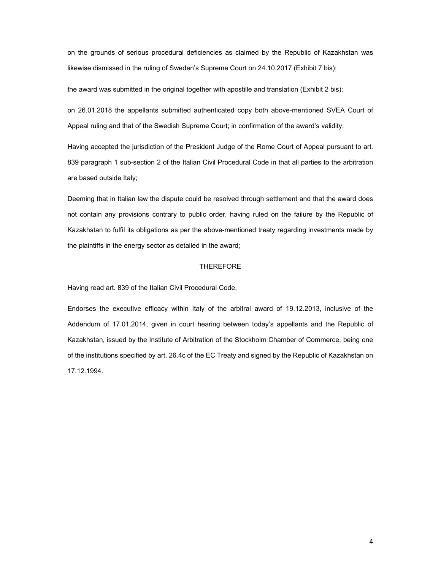on the grounds of serious procedural deficiencies as claimed by the Republic of Kazakhstan was likewise dismissed in the ruling of Sweden's Supreme Court on 24.10.2017 (Exhibit 7 bis);

the award was submitted in the original together with apostille and translation (Exhibit 2 bis);

on 26.01.2018 the appellants submitted authenticated copy both above-mentioned SVEA Court of Appeal ruling and that of the Swedish Supreme Court; in confirmation of the award's validity;

Having accepted the jurisdiction of the President Judge of the Rome Court of Appeal pursuant to art. 839 paragraph 1 sub-section 2 of the Italian Civil Procedural Code in that all parties to the arbitration are based outside Italy;

Deeming that in Italian law the dispute could be resolved through settlement and that the award does not contain any provisions contrary to public order, having ruled on the failure by the Republic of Kazakhstan to fulfil its obligations as per the above-mentioned treaty regarding investments made by the plaintiffs in the energy sector as detailed in the award;

### THEREFORE

Having read art. 839 of the Italian Civil Procedural Code,

Endorses the executive efficacy within Italy of the arbitral award of 19.12.2013, inclusive of the Addendum of 17.01,2014, given in court hearing between today's appellants and the Republic of Kazakhstan, issued by the Institute of Arbitration of the Stockholm Chamber of Commerce, being one of the institutions specified by art. 26.4c of the EC Treaty and signed by the Republic of Kazakhstan on 17.12.1994.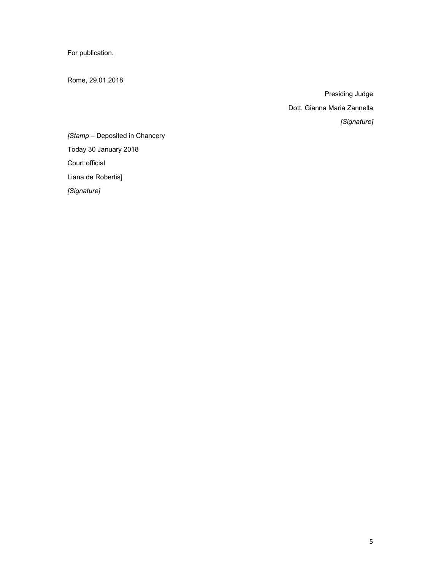For publication.

Rome, 29.01.2018

Presiding Judge Dott. Gianna Maria Zannella *[Signature]* 

*[Stamp* – Deposited in Chancery Today 30 January 2018 Court official Liana de Robertis]

*[Signature]*